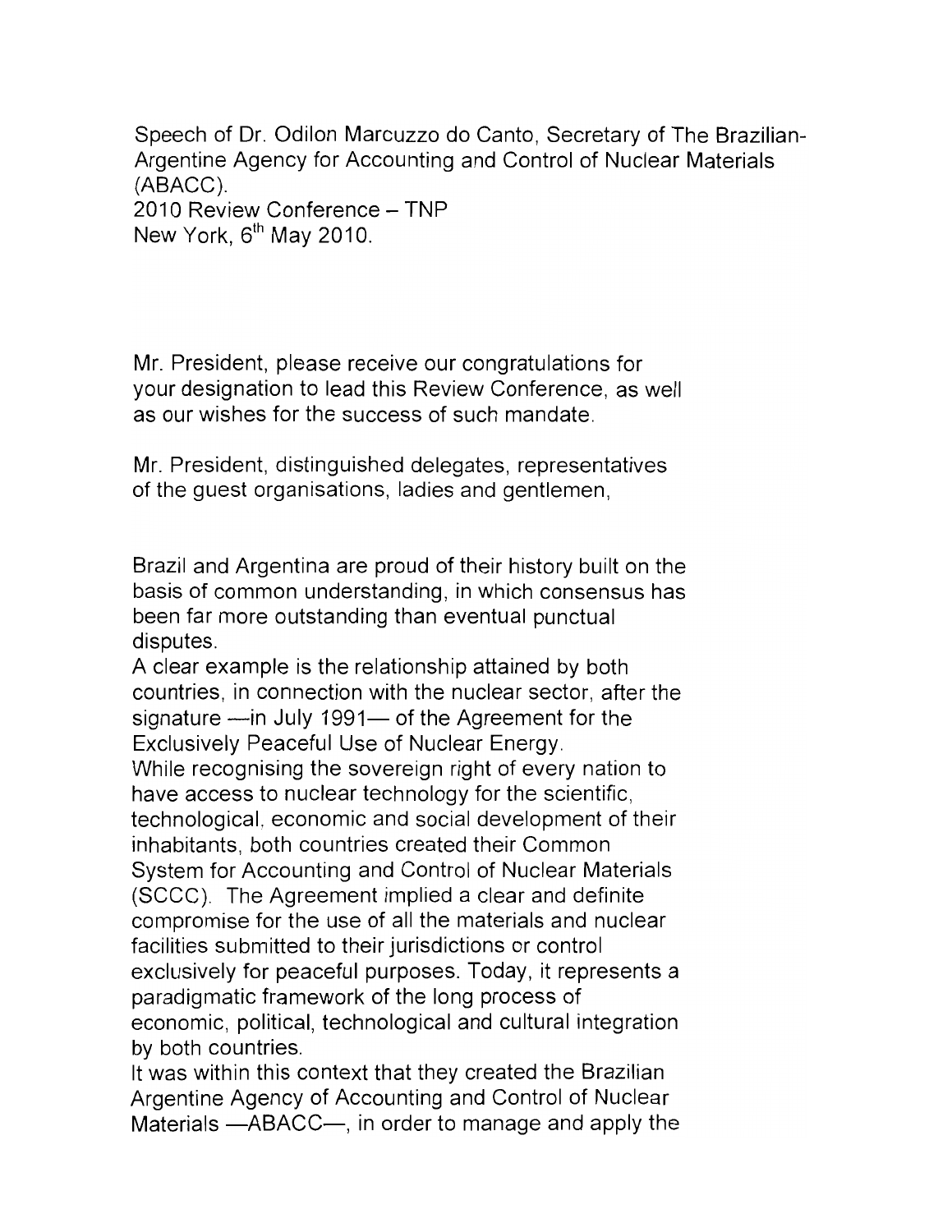Speech of Dr. Odilon Marcuzzo do Canto, Secretary of The Brazilian- Argentine Agency for Accounting and Control of Nuclear Materials (ABACC). 2010 Review Conference - TNP New York, 6<sup>th</sup> May 2010.

Mr. President, please receive our congratulations for your designation to lead this Review Conference, as well as our wishes for the success of such mandate.

Mr. President, distinguished delegates, representatives of the guest organisations, ladies and gentlemen,

Brazil and Argentina are proud of their history built on the basis of common understanding, in which consensus has been far more outstanding than eventual punctual disputes.

A clear example is the relationship attained by both countries, in connection with the nuclear sector, after the signature - in July 1991- of the Agreement for the Exclusively Peaceful Use of Nuclear Energy. While recognising the sovereign right of every nation to have access to nuclear technology for the scientific, technological, economic and social development of their inhabitants, both countries created their Common System for Accounting and Control of Nuclear Materials (SCCC). The Agreement implied a clear and definite compromise for the use of all the materials and nuclear facilities submitted to their jurisdictions or control exclusively for peaceful purposes. Today, it represents a paradigmatic framework of the long process of economic, political, technological and cultural integration by both countries.

It was within this context that they created the Brazilian Argentine Agency of Accounting and Control of Nuclear Materials  $-$ ABACC $-$ , in order to manage and apply the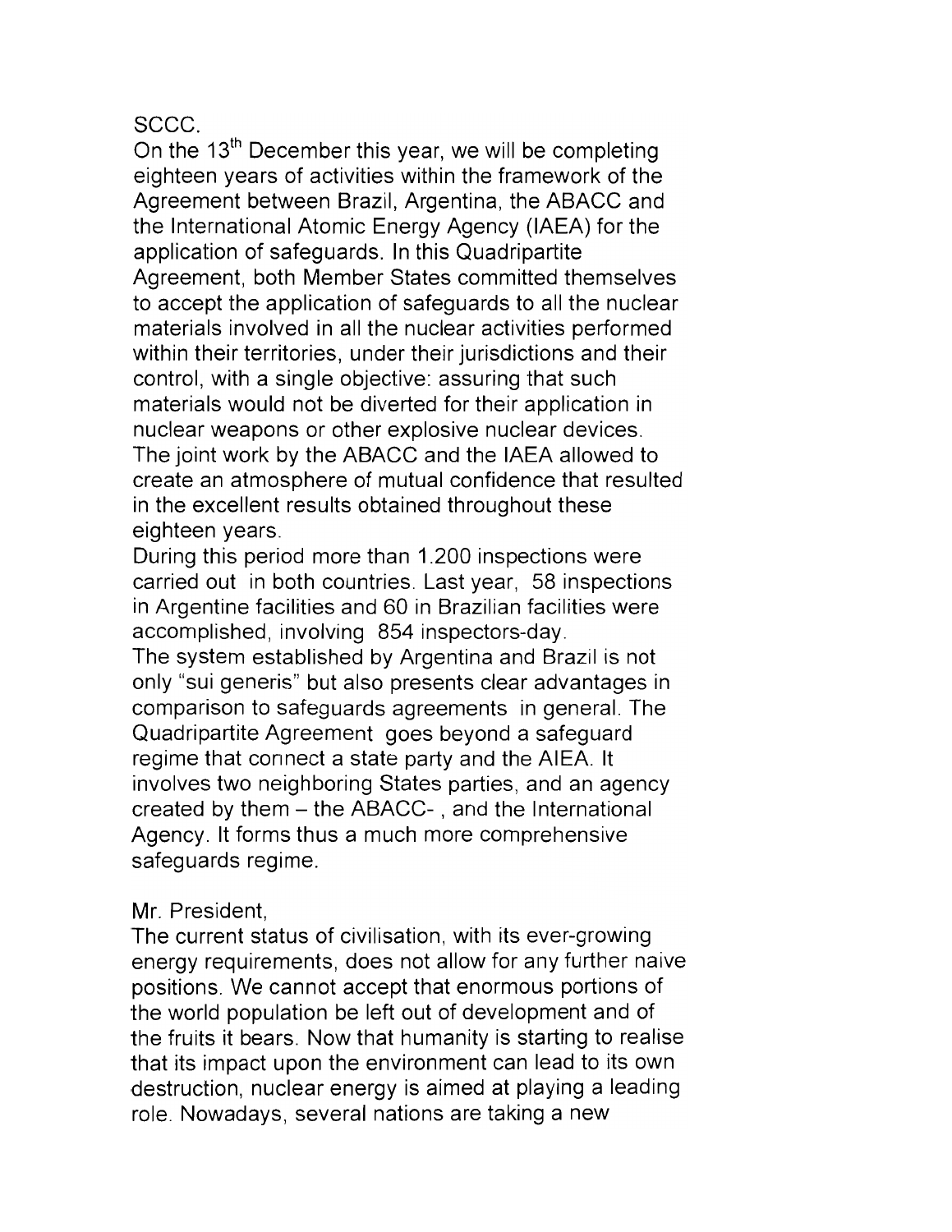## SCCC.

On the 13<sup>th</sup> December this year, we will be completing eighteen years of activities within the framework of the Agreement between Brazil, Argentina, the ABACC and the International Atomic Energy Agency (IAEA) for the application of safeguards. In this Quadripartite Agreement, both Member States committed themselves to accept the application of safeguards to all the nuclear materials involved in all the nuclear activities performed within their territories, under their jurisdictions and their control, with a single objective: assuring that such materials would not be diverted for their application in nuclear weapons or other explosive nuclear devices. The joint work by the ABACC and the IAEA allowed to create an atmosphere of mutual confidence that resulted in the excellent results obtained throughout these eighteen years.

During this period more than 1.200 inspections were carried out in both countries. Last year, 58 inspections in Argentine facilities and 60 in Brazilian facilities were accomplished, involving 854 inspectors-day. The system established by Argentina and Brazil is not only "sui generis" but also presents clear advantages in comparison to safeguards agreements in general. The Quadripartite Agreement goes beyond a safeguard regime that connect a state party and the AIEA. It involves two neighboring States parties, and an agency created by them - the ABACC- , and the International Agency. It forms thus a much more comprehensive safeguards regime.

## Mr. President,

The current status of civilisation, with its ever-growing energy requirements, does not allow for any further naive positions. We cannot accept that enormous portions of the world population be left out of development and of the fruits it bears. Now that humanity is starting to realise that its impact upon the environment can lead to its own destruction, nuclear energy is aimed at playing a leading role. Nowadays, several nations are taking a new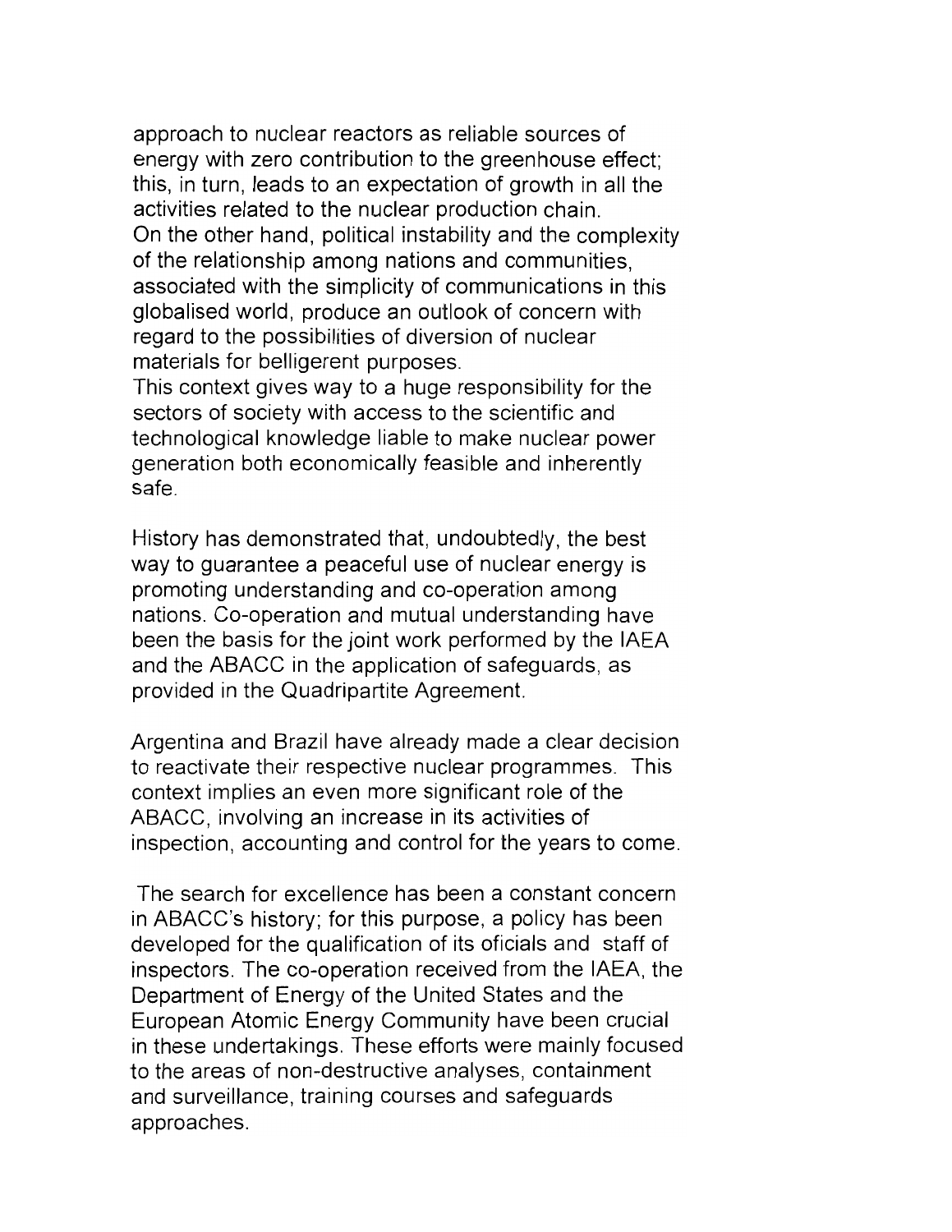approach to nuclear reactors as reliable sources of energy with zero contribution to the greenhouse effect; this, in turn, leads to an expectation of growth in all the activities related to the nuclear production chain. On the other hand, political instability and the complexity of the relationship among nations and communities, associated with the simplicity of communications in this globalised world, produce an outlook of concern with regard to the possibilities of diversion of nuclear materials for belligerent purposes.

This context gives way to a huge responsibility for the sectors of society with access to the scientific and technological knowledge liable to make nuclear power generation both economically feasible and inherently safe.

History has demonstrated that, undoubtedly, the best way to guarantee a peaceful use of nuclear energy is promoting understanding and co-operation among nations. Co-operation and mutual understanding have been the basis for the joint work performed by the IAEA and the ABACC in the application of safeguards, as provided in the Quadripartite Agreement.

Argentina and Brazil have already made a clear decision to reactivate their respective nuclear programmes. This context implies an even more significant role of the ABACC, involving an increase in its activities of inspection, accounting and control for the years to come.

The search for excellence has been a constant concern in ABACC's history; for this purpose, a policy has been developed for the qualification of its oficials and staff of inspectors. The co-operation received from the IAEA, the Department of Energy of the United States and the European Atomic Energy Community have been crucial in these undertakings. These efforts were mainly focused to the areas of non-destructive analyses, containment and surveillance, training courses and safeguards approaches.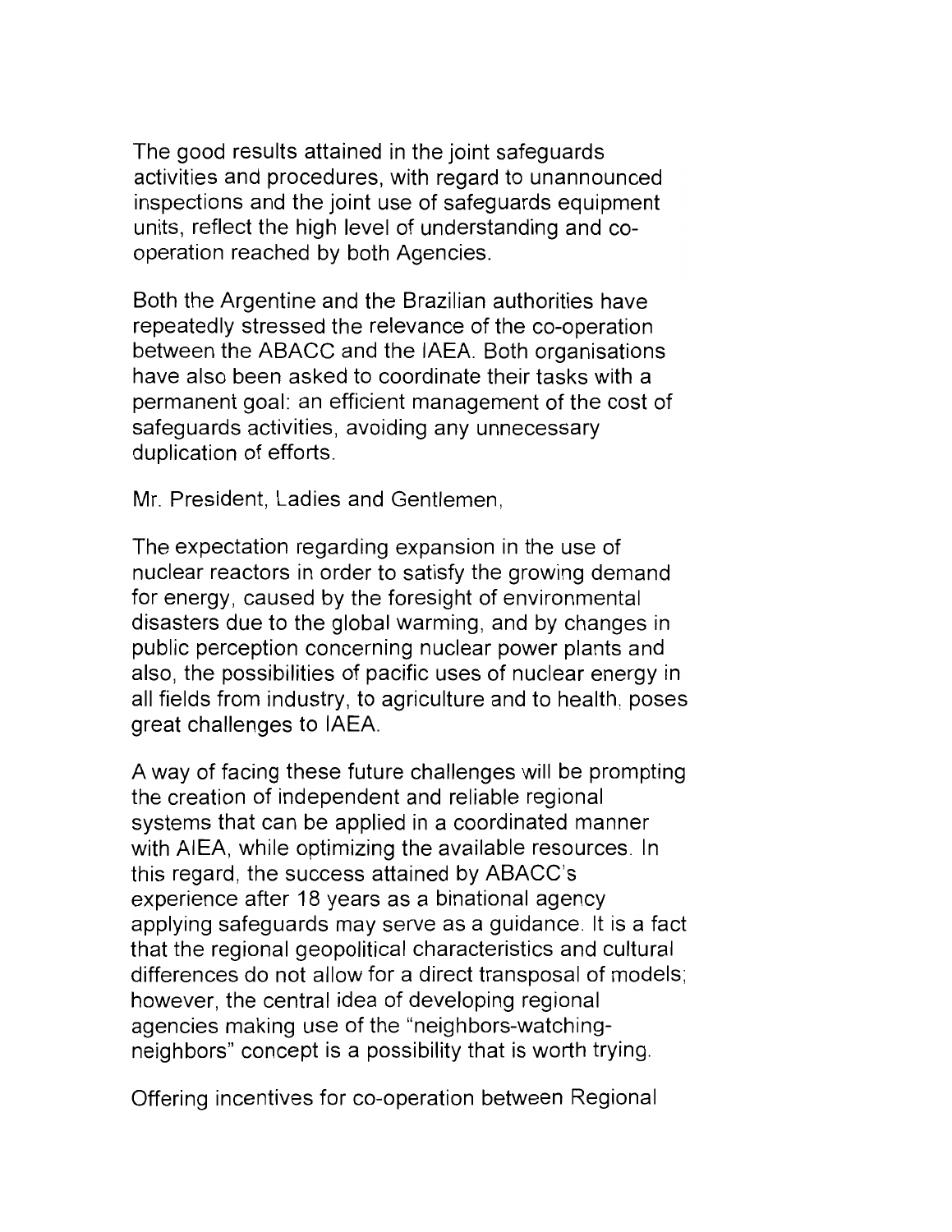The good results attained in the joint safeguards activities and procedures, with regard to unannounced inspections and the joint use of safeguards equipment units, reflect the high level of understanding and cooperation reached by both Agencies.

Both the Argentine and the Brazilian authorities have repeatedly stressed the relevance of the co-operation between the ABACC and the IAEA. Both organisations have also been asked to coordinate their tasks with a permanent goal: an efficient management of the cost of safeguards activities, avoiding any unnecessary duplication of efforts.

Mr. President, Ladies and Gentlemen,

The expectation regarding expansion in the use of nuclear reactors in order to satisfy the growing demand for energy, caused by the foresight of environmental disasters due to the global warming, and by changes in public perception concerning nuclear power plants and also, the possibilities of pacific uses of nuclear energy in all fields from industry, to agriculture and to health, poses great challenges to IAEA.

A way of facing these future challenges will be prompting the creation of independent and reliable regional systems that can be applied in a coordinated manner with AIEA, while optimizing the available resources. In this regard, the success attained by ABACC's experience after 18 years as a binational agency applying safeguards may serve as a guidance. It is a fact that the regional geopolitical characteristics and cultural differences do not allow for a direct transposal of models; however, the central idea of developing regional agencies making use of the "neighbors-watchingneighbors" concept is a possibility that is worth trying.

Offering incentives for co-operation between Regional